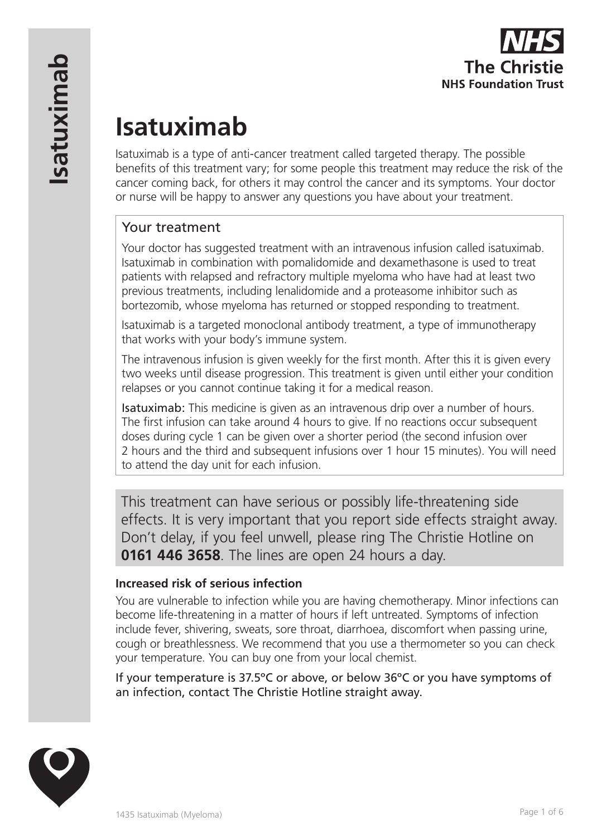# **Isatuximab**

Isatuximab is a type of anti-cancer treatment called targeted therapy. The possible benefits of this treatment vary; for some people this treatment may reduce the risk of the cancer coming back, for others it may control the cancer and its symptoms. Your doctor or nurse will be happy to answer any questions you have about your treatment.

# Your treatment

Your doctor has suggested treatment with an intravenous infusion called isatuximab. Isatuximab in combination with pomalidomide and dexamethasone is used to treat patients with relapsed and refractory multiple myeloma who have had at least two previous treatments, including lenalidomide and a proteasome inhibitor such as bortezomib, whose myeloma has returned or stopped responding to treatment.

Isatuximab is a targeted monoclonal antibody treatment, a type of immunotherapy that works with your body's immune system.

The intravenous infusion is given weekly for the first month. After this it is given every two weeks until disease progression. This treatment is given until either your condition relapses or you cannot continue taking it for a medical reason.

Isatuximab: This medicine is given as an intravenous drip over a number of hours. The first infusion can take around 4 hours to give. If no reactions occur subsequent doses during cycle 1 can be given over a shorter period (the second infusion over 2 hours and the third and subsequent infusions over 1 hour 15 minutes). You will need to attend the day unit for each infusion.

This treatment can have serious or possibly life-threatening side effects. It is very important that you report side effects straight away. Don't delay, if you feel unwell, please ring The Christie Hotline on **0161 446 3658**. The lines are open 24 hours a day.

#### **Increased risk of serious infection**

You are vulnerable to infection while you are having chemotherapy. Minor infections can become life-threatening in a matter of hours if left untreated. Symptoms of infection include fever, shivering, sweats, sore throat, diarrhoea, discomfort when passing urine, cough or breathlessness. We recommend that you use a thermometer so you can check your temperature. You can buy one from your local chemist.

If your temperature is 37.5ºC or above, or below 36ºC or you have symptoms of an infection, contact The Christie Hotline straight away.

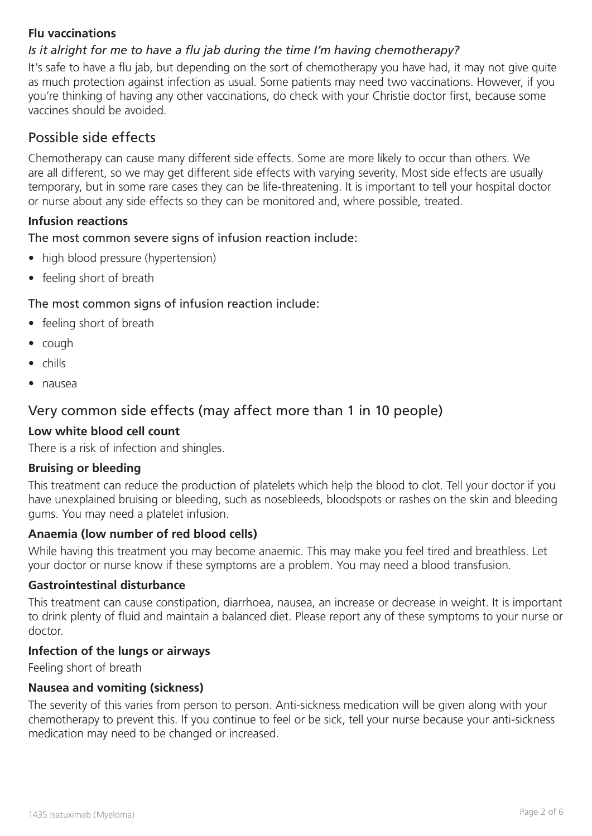#### **Flu vaccinations**

### *Is it alright for me to have a flu jab during the time I'm having chemotherapy?*

It's safe to have a flu jab, but depending on the sort of chemotherapy you have had, it may not give quite as much protection against infection as usual. Some patients may need two vaccinations. However, if you you're thinking of having any other vaccinations, do check with your Christie doctor first, because some vaccines should be avoided.

## Possible side effects

Chemotherapy can cause many different side effects. Some are more likely to occur than others. We are all different, so we may get different side effects with varying severity. Most side effects are usually temporary, but in some rare cases they can be life-threatening. It is important to tell your hospital doctor or nurse about any side effects so they can be monitored and, where possible, treated.

#### **Infusion reactions**

The most common severe signs of infusion reaction include:

- high blood pressure (hypertension)
- feeling short of breath

#### The most common signs of infusion reaction include:

- feeling short of breath
- cough
- chills
- nausea

## Very common side effects (may affect more than 1 in 10 people)

#### **Low white blood cell count**

There is a risk of infection and shingles.

#### **Bruising or bleeding**

This treatment can reduce the production of platelets which help the blood to clot. Tell your doctor if you have unexplained bruising or bleeding, such as nosebleeds, bloodspots or rashes on the skin and bleeding gums. You may need a platelet infusion.

#### **Anaemia (low number of red blood cells)**

While having this treatment you may become anaemic. This may make you feel tired and breathless. Let your doctor or nurse know if these symptoms are a problem. You may need a blood transfusion.

#### **Gastrointestinal disturbance**

This treatment can cause constipation, diarrhoea, nausea, an increase or decrease in weight. It is important to drink plenty of fluid and maintain a balanced diet. Please report any of these symptoms to your nurse or doctor.

#### **Infection of the lungs or airways**

Feeling short of breath

#### **Nausea and vomiting (sickness)**

The severity of this varies from person to person. Anti-sickness medication will be given along with your chemotherapy to prevent this. If you continue to feel or be sick, tell your nurse because your anti-sickness medication may need to be changed or increased.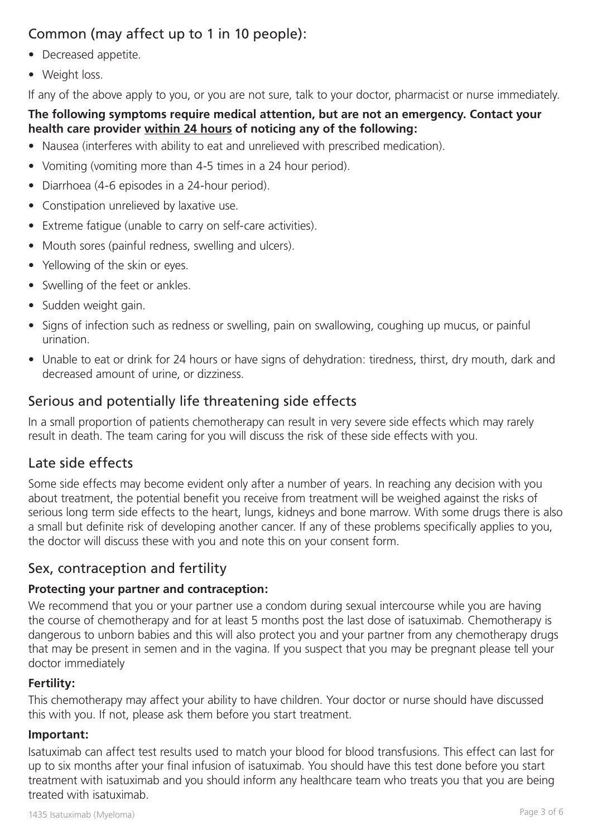# Common (may affect up to 1 in 10 people):

- Decreased appetite.
- Weight loss.

If any of the above apply to you, or you are not sure, talk to your doctor, pharmacist or nurse immediately.

#### **The following symptoms require medical attention, but are not an emergency. Contact your health care provider within 24 hours of noticing any of the following:**

- Nausea (interferes with ability to eat and unrelieved with prescribed medication).
- Vomiting (vomiting more than 4-5 times in a 24 hour period).
- Diarrhoea (4-6 episodes in a 24-hour period).
- Constipation unrelieved by laxative use.
- Extreme fatigue (unable to carry on self-care activities).
- Mouth sores (painful redness, swelling and ulcers).
- Yellowing of the skin or eyes.
- Swelling of the feet or ankles.
- Sudden weight gain.
- Signs of infection such as redness or swelling, pain on swallowing, coughing up mucus, or painful urination.
- Unable to eat or drink for 24 hours or have signs of dehydration: tiredness, thirst, dry mouth, dark and decreased amount of urine, or dizziness.

# Serious and potentially life threatening side effects

In a small proportion of patients chemotherapy can result in very severe side effects which may rarely result in death. The team caring for you will discuss the risk of these side effects with you.

## Late side effects

Some side effects may become evident only after a number of years. In reaching any decision with you about treatment, the potential benefit you receive from treatment will be weighed against the risks of serious long term side effects to the heart, lungs, kidneys and bone marrow. With some drugs there is also a small but definite risk of developing another cancer. If any of these problems specifically applies to you, the doctor will discuss these with you and note this on your consent form.

## Sex, contraception and fertility

#### **Protecting your partner and contraception:**

We recommend that you or your partner use a condom during sexual intercourse while you are having the course of chemotherapy and for at least 5 months post the last dose of isatuximab. Chemotherapy is dangerous to unborn babies and this will also protect you and your partner from any chemotherapy drugs that may be present in semen and in the vagina. If you suspect that you may be pregnant please tell your doctor immediately

#### **Fertility:**

This chemotherapy may affect your ability to have children. Your doctor or nurse should have discussed this with you. If not, please ask them before you start treatment.

#### **Important:**

Isatuximab can affect test results used to match your blood for blood transfusions. This effect can last for up to six months after your final infusion of isatuximab. You should have this test done before you start treatment with isatuximab and you should inform any healthcare team who treats you that you are being treated with isatuximab.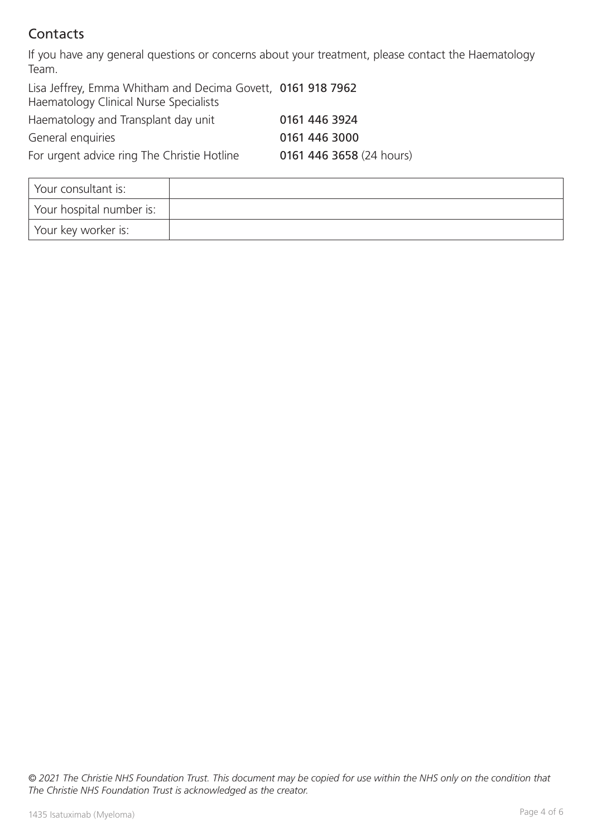# Contacts

If you have any general questions or concerns about your treatment, please contact the Haematology Team.

| Lisa Jeffrey, Emma Whitham and Decima Govett, 0161 918 7962<br>Haematology Clinical Nurse Specialists |                          |
|-------------------------------------------------------------------------------------------------------|--------------------------|
| Haematology and Transplant day unit                                                                   | 0161 446 3924            |
| General enquiries                                                                                     | 0161 446 3000            |
| For urgent advice ring The Christie Hotline                                                           | 0161 446 3658 (24 hours) |

| Your consultant is:      |  |
|--------------------------|--|
| Your hospital number is: |  |
| Your key worker is:      |  |

*© 2021 The Christie NHS Foundation Trust. This document may be copied for use within the NHS only on the condition that The Christie NHS Foundation Trust is acknowledged as the creator.*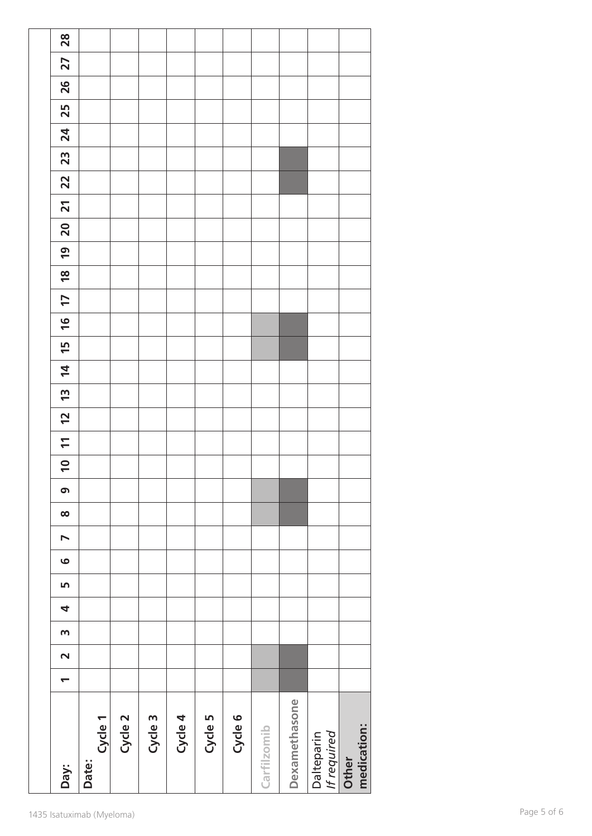| Day:                            | Cycle 1<br>Date: | Cycle 2 | Cycle 3 | Cycle 4 | Cycle 5 | Cycle 6 | Carfilzomib | Dexamethasone | Dalteparin<br>If required | medication:<br>Other |
|---------------------------------|------------------|---------|---------|---------|---------|---------|-------------|---------------|---------------------------|----------------------|
| $\overline{\phantom{0}}$        |                  |         |         |         |         |         |             |               |                           |                      |
| $\sim$                          |                  |         |         |         |         |         |             |               |                           |                      |
| $\mathsf{m}$                    |                  |         |         |         |         |         |             |               |                           |                      |
| 4                               |                  |         |         |         |         |         |             |               |                           |                      |
| LO                              |                  |         |         |         |         |         |             |               |                           |                      |
| $\bullet$                       |                  |         |         |         |         |         |             |               |                           |                      |
| $\blacktriangleright$           |                  |         |         |         |         |         |             |               |                           |                      |
| $\infty$                        |                  |         |         |         |         |         |             |               |                           |                      |
| $\bullet$                       |                  |         |         |         |         |         |             |               |                           |                      |
| $\overline{\phantom{0}}$        |                  |         |         |         |         |         |             |               |                           |                      |
| $\overline{1}$                  |                  |         |         |         |         |         |             |               |                           |                      |
| $\overline{2}$                  |                  |         |         |         |         |         |             |               |                           |                      |
| $\overline{4}$<br>$\frac{1}{2}$ |                  |         |         |         |         |         |             |               |                           |                      |
| $\frac{15}{1}$                  |                  |         |         |         |         |         |             |               |                           |                      |
| $\frac{1}{6}$                   |                  |         |         |         |         |         |             |               |                           |                      |
| $\overline{17}$                 |                  |         |         |         |         |         |             |               |                           |                      |
| $\frac{8}{10}$                  |                  |         |         |         |         |         |             |               |                           |                      |
| $\overline{6}$                  |                  |         |         |         |         |         |             |               |                           |                      |
| $\overline{\mathbf{S}}$         |                  |         |         |         |         |         |             |               |                           |                      |
| $\overline{21}$                 |                  |         |         |         |         |         |             |               |                           |                      |
| 22                              |                  |         |         |         |         |         |             |               |                           |                      |
| 23                              |                  |         |         |         |         |         |             |               |                           |                      |
| $\mathbf{24}$                   |                  |         |         |         |         |         |             |               |                           |                      |
| 25                              |                  |         |         |         |         |         |             |               |                           |                      |
| 26                              |                  |         |         |         |         |         |             |               |                           |                      |
| 27                              |                  |         |         |         |         |         |             |               |                           |                      |
| 28                              |                  |         |         |         |         |         |             |               |                           |                      |